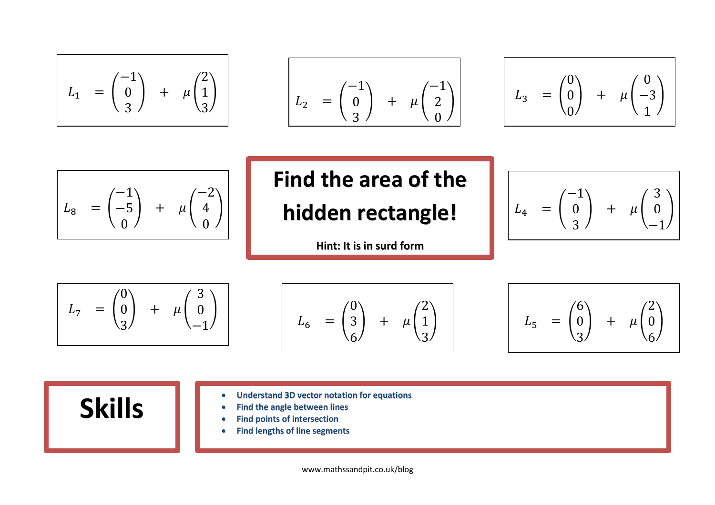$$
L_1 = \begin{pmatrix} -1 \\ 0 \\ 3 \end{pmatrix} + \mu \begin{pmatrix} 2 \\ 1 \\ 3 \end{pmatrix}
$$

$$
L_2 = \begin{pmatrix} -1 \\ 0 \\ 3 \end{pmatrix} + \mu \begin{pmatrix} -1 \\ 2 \\ 0 \end{pmatrix}
$$

$$
L_3 = \begin{pmatrix} 0 \\ 0 \\ 0 \end{pmatrix} + \mu \begin{pmatrix} 0 \\ -3 \\ 1 \end{pmatrix}
$$

$$
L_8 = \begin{pmatrix} -1 \\ -5 \\ 0 \end{pmatrix} + \mu \begin{pmatrix} -2 \\ 4 \\ 0 \end{pmatrix}
$$

## **Find the area of the hidden rectangle!**

**Hint: It is in surd form**

$$
L_4 = \begin{pmatrix} -1 \\ 0 \\ 3 \end{pmatrix} + \mu \begin{pmatrix} 3 \\ 0 \\ -1 \end{pmatrix}
$$





$$
\bigg)
$$
  $L_5 = \begin{pmatrix} 6 \\ 0 \\ 3 \end{pmatrix} + \mu \begin{pmatrix} 2 \\ 0 \\ 6 \end{pmatrix}$ 

**Skills index of the angle between lines**<br> **Skills i** Find points of intersection

- 
- **Find the angle between lines**
- **Find points of intersection**
- **Find lengths of line segments**